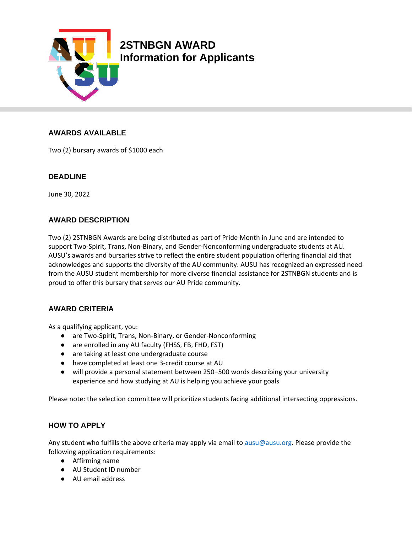

# **AWARDS AVAILABLE**

Two (2) bursary awards of \$1000 each

## **DEADLINE**

June 30, 2022

## **AWARD DESCRIPTION**

Two (2) 2STNBGN Awards are being distributed as part of Pride Month in June and are intended to support Two-Spirit, Trans, Non-Binary, and Gender-Nonconforming undergraduate students at AU. AUSU's awards and bursaries strive to reflect the entire student population offering financial aid that acknowledges and supports the diversity of the AU community. AUSU has recognized an expressed need from the AUSU student membership for more diverse financial assistance for 2STNBGN students and is proud to offer this bursary that serves our AU Pride community.

## **AWARD CRITERIA**

As a qualifying applicant, you:

- are Two-Spirit, Trans, Non-Binary, or Gender-Nonconforming
- are enrolled in any AU faculty (FHSS, FB, FHD, FST)
- are taking at least one undergraduate course
- have completed at least one 3-credit course at AU
- will provide a personal statement between 250–500 words describing your university experience and how studying at AU is helping you achieve your goals

Please note: the selection committee will prioritize students facing additional intersecting oppressions.

## **HOW TO APPLY**

Any student who fulfills the above criteria may apply via email to [ausu@ausu.org.](mailto:ausu@ausu.org) Please provide the following application requirements:

- Affirming name
- AU Student ID number
- AU email address